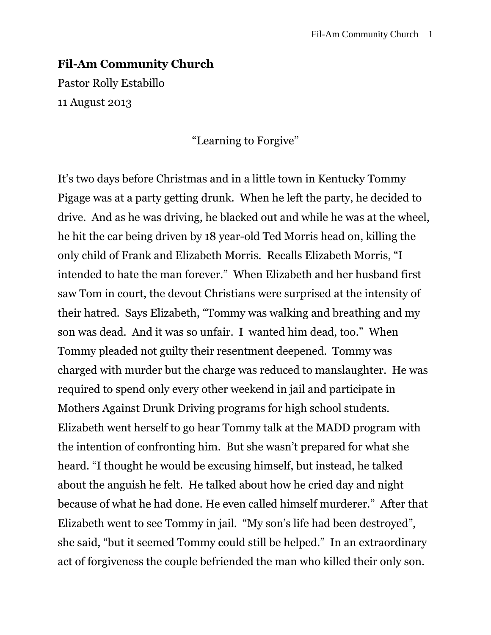# **Fil-Am Community Church** Pastor Rolly Estabillo

11 August 2013

# "Learning to Forgive"

It's two days before Christmas and in a little town in Kentucky Tommy Pigage was at a party getting drunk. When he left the party, he decided to drive. And as he was driving, he blacked out and while he was at the wheel, he hit the car being driven by 18 year-old Ted Morris head on, killing the only child of Frank and Elizabeth Morris. Recalls Elizabeth Morris, "I intended to hate the man forever." When Elizabeth and her husband first saw Tom in court, the devout Christians were surprised at the intensity of their hatred. Says Elizabeth, "Tommy was walking and breathing and my son was dead. And it was so unfair. I wanted him dead, too." When Tommy pleaded not guilty their resentment deepened. Tommy was charged with murder but the charge was reduced to manslaughter. He was required to spend only every other weekend in jail and participate in Mothers Against Drunk Driving programs for high school students. Elizabeth went herself to go hear Tommy talk at the MADD program with the intention of confronting him. But she wasn't prepared for what she heard. "I thought he would be excusing himself, but instead, he talked about the anguish he felt. He talked about how he cried day and night because of what he had done. He even called himself murderer." After that Elizabeth went to see Tommy in jail. "My son's life had been destroyed", she said, "but it seemed Tommy could still be helped." In an extraordinary act of forgiveness the couple befriended the man who killed their only son.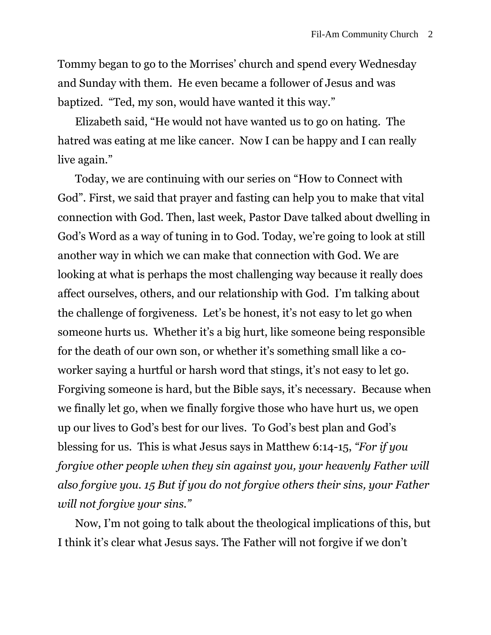Tommy began to go to the Morrises' church and spend every Wednesday and Sunday with them. He even became a follower of Jesus and was baptized. "Ted, my son, would have wanted it this way."

Elizabeth said, "He would not have wanted us to go on hating. The hatred was eating at me like cancer. Now I can be happy and I can really live again."

Today, we are continuing with our series on "How to Connect with God". First, we said that prayer and fasting can help you to make that vital connection with God. Then, last week, Pastor Dave talked about dwelling in God's Word as a way of tuning in to God. Today, we're going to look at still another way in which we can make that connection with God. We are looking at what is perhaps the most challenging way because it really does affect ourselves, others, and our relationship with God. I'm talking about the challenge of forgiveness. Let's be honest, it's not easy to let go when someone hurts us. Whether it's a big hurt, like someone being responsible for the death of our own son, or whether it's something small like a coworker saying a hurtful or harsh word that stings, it's not easy to let go. Forgiving someone is hard, but the Bible says, it's necessary. Because when we finally let go, when we finally forgive those who have hurt us, we open up our lives to God's best for our lives. To God's best plan and God's blessing for us. This is what Jesus says in Matthew 6:14-15, *"For if you forgive other people when they sin against you, your heavenly Father will also forgive you. 15 But if you do not forgive others their sins, your Father will not forgive your sins."*

Now, I'm not going to talk about the theological implications of this, but I think it's clear what Jesus says. The Father will not forgive if we don't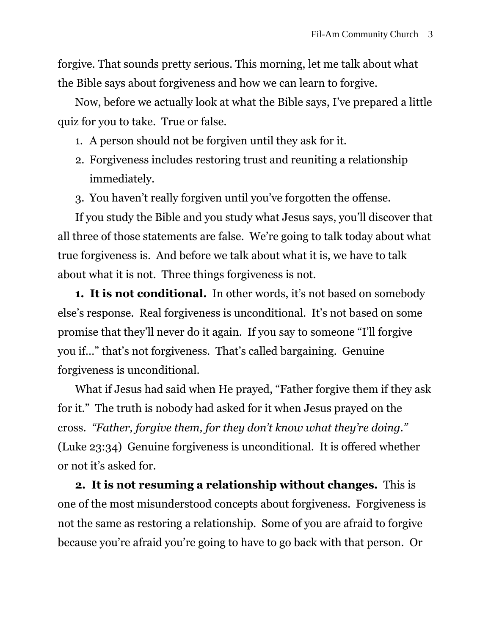forgive. That sounds pretty serious. This morning, let me talk about what the Bible says about forgiveness and how we can learn to forgive.

Now, before we actually look at what the Bible says, I've prepared a little quiz for you to take. True or false.

- 1. A person should not be forgiven until they ask for it.
- 2. Forgiveness includes restoring trust and reuniting a relationship immediately.
- 3. You haven't really forgiven until you've forgotten the offense.

If you study the Bible and you study what Jesus says, you'll discover that all three of those statements are false. We're going to talk today about what true forgiveness is. And before we talk about what it is, we have to talk about what it is not. Three things forgiveness is not.

**1. It is not conditional.** In other words, it's not based on somebody else's response. Real forgiveness is unconditional. It's not based on some promise that they'll never do it again. If you say to someone "I'll forgive you if…" that's not forgiveness. That's called bargaining. Genuine forgiveness is unconditional.

What if Jesus had said when He prayed, "Father forgive them if they ask for it." The truth is nobody had asked for it when Jesus prayed on the cross. *"Father, forgive them, for they don't know what they're doing."* (Luke 23:34) Genuine forgiveness is unconditional. It is offered whether or not it's asked for.

**2. It is not resuming a relationship without changes.** This is one of the most misunderstood concepts about forgiveness. Forgiveness is not the same as restoring a relationship. Some of you are afraid to forgive because you're afraid you're going to have to go back with that person. Or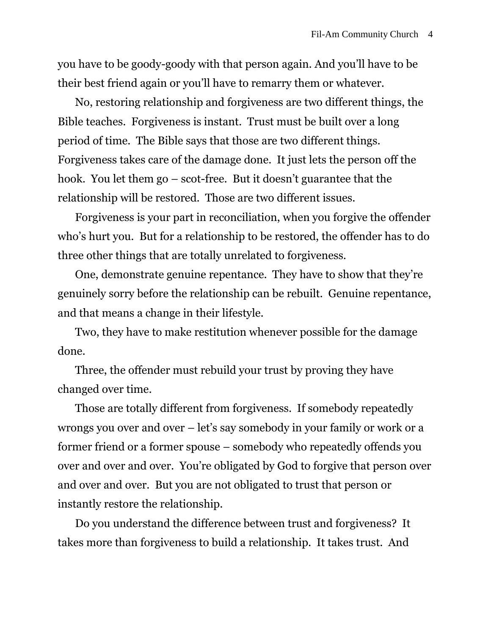you have to be goody-goody with that person again. And you'll have to be their best friend again or you'll have to remarry them or whatever.

No, restoring relationship and forgiveness are two different things, the Bible teaches. Forgiveness is instant. Trust must be built over a long period of time. The Bible says that those are two different things. Forgiveness takes care of the damage done. It just lets the person off the hook. You let them go – scot-free. But it doesn't guarantee that the relationship will be restored. Those are two different issues.

Forgiveness is your part in reconciliation, when you forgive the offender who's hurt you. But for a relationship to be restored, the offender has to do three other things that are totally unrelated to forgiveness.

One, demonstrate genuine repentance. They have to show that they're genuinely sorry before the relationship can be rebuilt. Genuine repentance, and that means a change in their lifestyle.

Two, they have to make restitution whenever possible for the damage done.

Three, the offender must rebuild your trust by proving they have changed over time.

Those are totally different from forgiveness. If somebody repeatedly wrongs you over and over – let's say somebody in your family or work or a former friend or a former spouse – somebody who repeatedly offends you over and over and over. You're obligated by God to forgive that person over and over and over. But you are not obligated to trust that person or instantly restore the relationship.

Do you understand the difference between trust and forgiveness? It takes more than forgiveness to build a relationship. It takes trust. And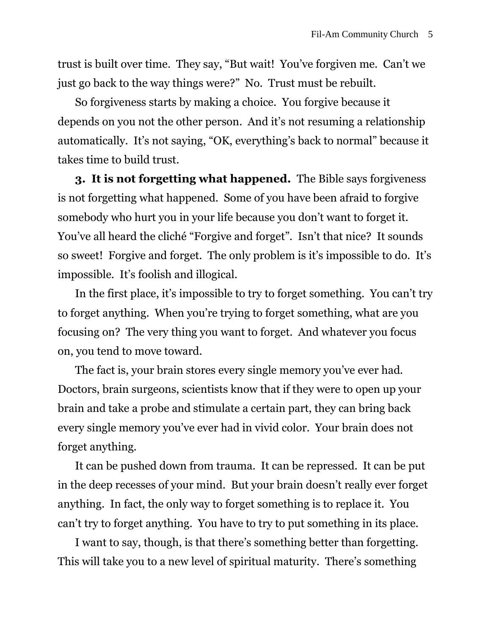trust is built over time. They say, "But wait! You've forgiven me. Can't we just go back to the way things were?" No. Trust must be rebuilt.

So forgiveness starts by making a choice. You forgive because it depends on you not the other person. And it's not resuming a relationship automatically. It's not saying, "OK, everything's back to normal" because it takes time to build trust.

**3. It is not forgetting what happened.** The Bible says forgiveness is not forgetting what happened. Some of you have been afraid to forgive somebody who hurt you in your life because you don't want to forget it. You've all heard the cliché "Forgive and forget". Isn't that nice? It sounds so sweet! Forgive and forget. The only problem is it's impossible to do. It's impossible. It's foolish and illogical.

In the first place, it's impossible to try to forget something. You can't try to forget anything. When you're trying to forget something, what are you focusing on? The very thing you want to forget. And whatever you focus on, you tend to move toward.

The fact is, your brain stores every single memory you've ever had. Doctors, brain surgeons, scientists know that if they were to open up your brain and take a probe and stimulate a certain part, they can bring back every single memory you've ever had in vivid color. Your brain does not forget anything.

It can be pushed down from trauma. It can be repressed. It can be put in the deep recesses of your mind. But your brain doesn't really ever forget anything. In fact, the only way to forget something is to replace it. You can't try to forget anything. You have to try to put something in its place.

I want to say, though, is that there's something better than forgetting. This will take you to a new level of spiritual maturity. There's something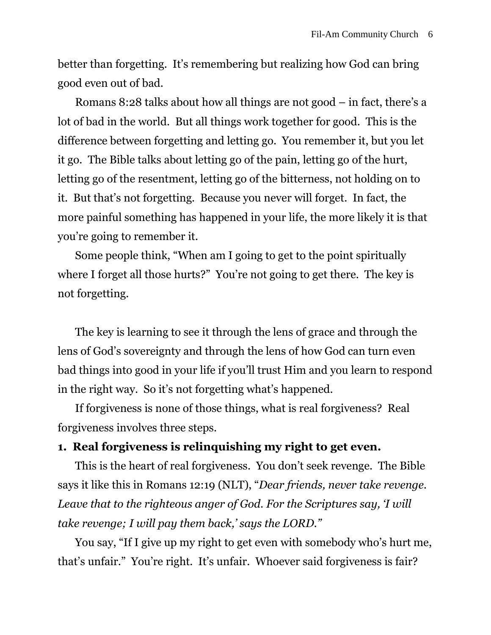better than forgetting. It's remembering but realizing how God can bring good even out of bad.

Romans 8:28 talks about how all things are not good – in fact, there's a lot of bad in the world. But all things work together for good. This is the difference between forgetting and letting go. You remember it, but you let it go. The Bible talks about letting go of the pain, letting go of the hurt, letting go of the resentment, letting go of the bitterness, not holding on to it. But that's not forgetting. Because you never will forget. In fact, the more painful something has happened in your life, the more likely it is that you're going to remember it.

Some people think, "When am I going to get to the point spiritually where I forget all those hurts?" You're not going to get there. The key is not forgetting.

The key is learning to see it through the lens of grace and through the lens of God's sovereignty and through the lens of how God can turn even bad things into good in your life if you'll trust Him and you learn to respond in the right way. So it's not forgetting what's happened.

If forgiveness is none of those things, what is real forgiveness? Real forgiveness involves three steps.

## **1. Real forgiveness is relinquishing my right to get even.**

This is the heart of real forgiveness. You don't seek revenge. The Bible says it like this in Romans 12:19 (NLT), "*Dear friends, never take revenge. Leave that to the righteous anger of God. For the Scriptures say, 'I will take revenge; I will pay them back,' says the LORD."*

You say, "If I give up my right to get even with somebody who's hurt me, that's unfair." You're right. It's unfair. Whoever said forgiveness is fair?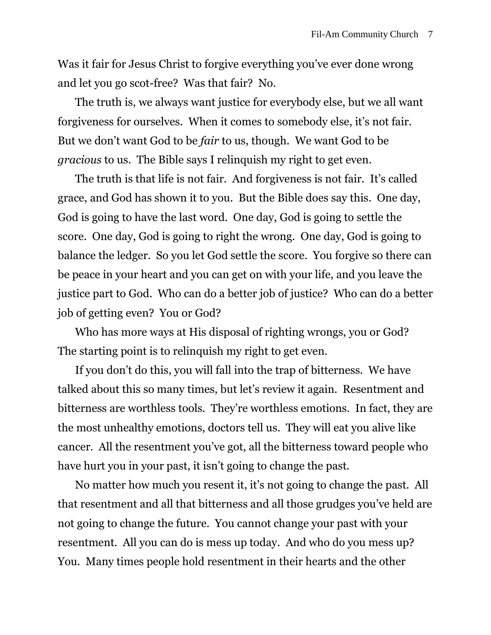Was it fair for Jesus Christ to forgive everything you've ever done wrong and let you go scot-free? Was that fair? No.

The truth is, we always want justice for everybody else, but we all want forgiveness for ourselves. When it comes to somebody else, it's not fair. But we don't want God to be *fair* to us, though. We want God to be *gracious* to us. The Bible says I relinquish my right to get even.

The truth is that life is not fair. And forgiveness is not fair. It's called grace, and God has shown it to you. But the Bible does say this. One day, God is going to have the last word. One day, God is going to settle the score. One day, God is going to right the wrong. One day, God is going to balance the ledger. So you let God settle the score. You forgive so there can be peace in your heart and you can get on with your life, and you leave the justice part to God. Who can do a better job of justice? Who can do a better job of getting even? You or God?

Who has more ways at His disposal of righting wrongs, you or God? The starting point is to relinquish my right to get even.

If you don't do this, you will fall into the trap of bitterness. We have talked about this so many times, but let's review it again. Resentment and bitterness are worthless tools. They're worthless emotions. In fact, they are the most unhealthy emotions, doctors tell us. They will eat you alive like cancer. All the resentment you've got, all the bitterness toward people who have hurt you in your past, it isn't going to change the past.

No matter how much you resent it, it's not going to change the past. All that resentment and all that bitterness and all those grudges you've held are not going to change the future. You cannot change your past with your resentment. All you can do is mess up today. And who do you mess up? You. Many times people hold resentment in their hearts and the other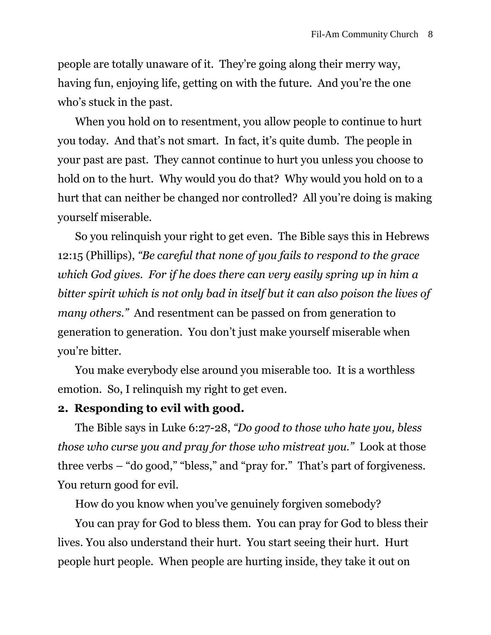people are totally unaware of it. They're going along their merry way, having fun, enjoying life, getting on with the future. And you're the one who's stuck in the past.

When you hold on to resentment, you allow people to continue to hurt you today. And that's not smart. In fact, it's quite dumb. The people in your past are past. They cannot continue to hurt you unless you choose to hold on to the hurt. Why would you do that? Why would you hold on to a hurt that can neither be changed nor controlled? All you're doing is making yourself miserable.

So you relinquish your right to get even. The Bible says this in Hebrews 12:15 (Phillips), *"Be careful that none of you fails to respond to the grace which God gives. For if he does there can very easily spring up in him a bitter spirit which is not only bad in itself but it can also poison the lives of many others."* And resentment can be passed on from generation to generation to generation. You don't just make yourself miserable when you're bitter.

You make everybody else around you miserable too. It is a worthless emotion. So, I relinquish my right to get even.

#### **2. Responding to evil with good.**

The Bible says in Luke 6:27-28, *"Do good to those who hate you, bless those who curse you and pray for those who mistreat you."* Look at those three verbs – "do good," "bless," and "pray for." That's part of forgiveness. You return good for evil.

How do you know when you've genuinely forgiven somebody?

You can pray for God to bless them. You can pray for God to bless their lives. You also understand their hurt. You start seeing their hurt. Hurt people hurt people. When people are hurting inside, they take it out on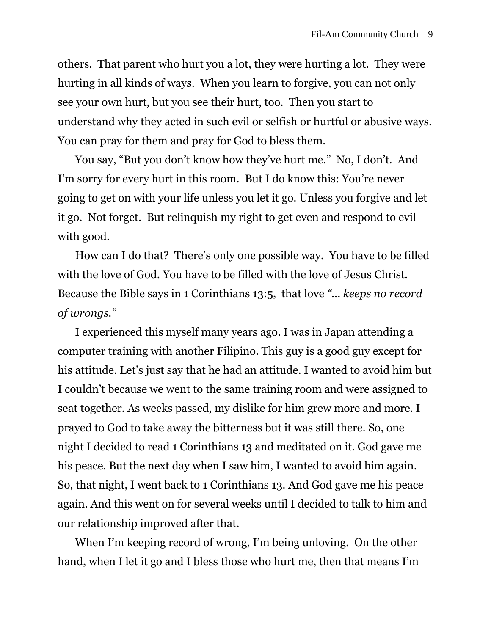others. That parent who hurt you a lot, they were hurting a lot. They were hurting in all kinds of ways. When you learn to forgive, you can not only see your own hurt, but you see their hurt, too. Then you start to understand why they acted in such evil or selfish or hurtful or abusive ways. You can pray for them and pray for God to bless them.

You say, "But you don't know how they've hurt me." No, I don't. And I'm sorry for every hurt in this room. But I do know this: You're never going to get on with your life unless you let it go. Unless you forgive and let it go. Not forget. But relinquish my right to get even and respond to evil with good.

How can I do that? There's only one possible way. You have to be filled with the love of God. You have to be filled with the love of Jesus Christ. Because the Bible says in 1 Corinthians 13:5, that love *"… keeps no record of wrongs."* 

I experienced this myself many years ago. I was in Japan attending a computer training with another Filipino. This guy is a good guy except for his attitude. Let's just say that he had an attitude. I wanted to avoid him but I couldn't because we went to the same training room and were assigned to seat together. As weeks passed, my dislike for him grew more and more. I prayed to God to take away the bitterness but it was still there. So, one night I decided to read 1 Corinthians 13 and meditated on it. God gave me his peace. But the next day when I saw him, I wanted to avoid him again. So, that night, I went back to 1 Corinthians 13. And God gave me his peace again. And this went on for several weeks until I decided to talk to him and our relationship improved after that.

When I'm keeping record of wrong, I'm being unloving. On the other hand, when I let it go and I bless those who hurt me, then that means I'm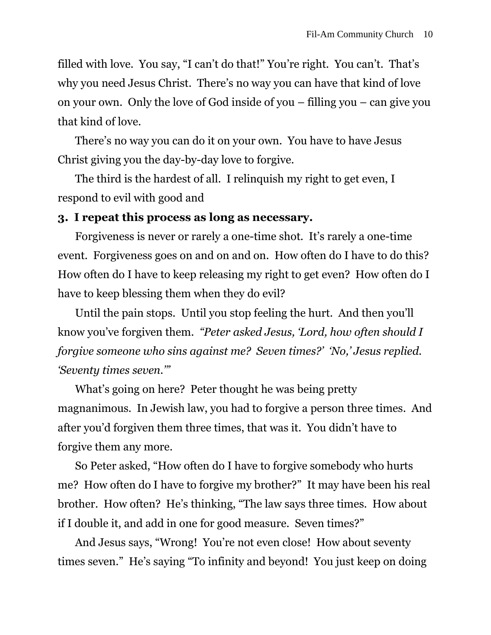filled with love. You say, "I can't do that!" You're right. You can't. That's why you need Jesus Christ. There's no way you can have that kind of love on your own. Only the love of God inside of you – filling you – can give you that kind of love.

There's no way you can do it on your own. You have to have Jesus Christ giving you the day-by-day love to forgive.

The third is the hardest of all. I relinquish my right to get even, I respond to evil with good and

### **3. I repeat this process as long as necessary.**

Forgiveness is never or rarely a one-time shot. It's rarely a one-time event. Forgiveness goes on and on and on. How often do I have to do this? How often do I have to keep releasing my right to get even? How often do I have to keep blessing them when they do evil?

Until the pain stops. Until you stop feeling the hurt. And then you'll know you've forgiven them. *"Peter asked Jesus, 'Lord, how often should I forgive someone who sins against me? Seven times?' 'No,' Jesus replied. 'Seventy times seven.'"*

What's going on here? Peter thought he was being pretty magnanimous. In Jewish law, you had to forgive a person three times. And after you'd forgiven them three times, that was it. You didn't have to forgive them any more.

So Peter asked, "How often do I have to forgive somebody who hurts me? How often do I have to forgive my brother?" It may have been his real brother. How often? He's thinking, "The law says three times. How about if I double it, and add in one for good measure. Seven times?"

And Jesus says, "Wrong! You're not even close! How about seventy times seven." He's saying "To infinity and beyond! You just keep on doing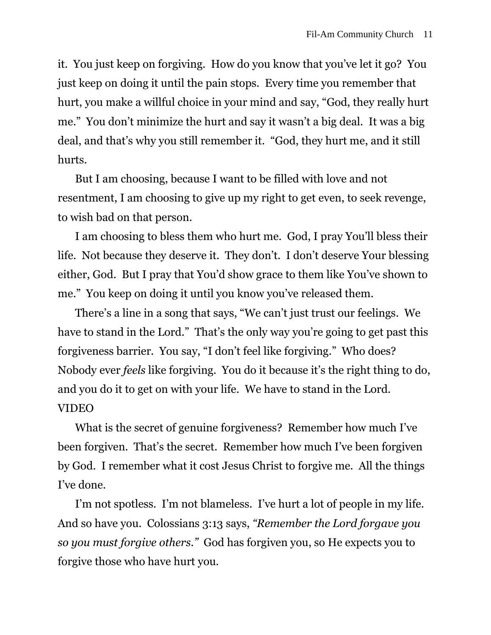it. You just keep on forgiving. How do you know that you've let it go? You just keep on doing it until the pain stops. Every time you remember that hurt, you make a willful choice in your mind and say, "God, they really hurt me." You don't minimize the hurt and say it wasn't a big deal. It was a big deal, and that's why you still remember it. "God, they hurt me, and it still hurts.

But I am choosing, because I want to be filled with love and not resentment, I am choosing to give up my right to get even, to seek revenge, to wish bad on that person.

I am choosing to bless them who hurt me. God, I pray You'll bless their life. Not because they deserve it. They don't. I don't deserve Your blessing either, God. But I pray that You'd show grace to them like You've shown to me." You keep on doing it until you know you've released them.

There's a line in a song that says, "We can't just trust our feelings. We have to stand in the Lord." That's the only way you're going to get past this forgiveness barrier. You say, "I don't feel like forgiving." Who does? Nobody ever *feels* like forgiving. You do it because it's the right thing to do, and you do it to get on with your life. We have to stand in the Lord. VIDEO

What is the secret of genuine forgiveness? Remember how much I've been forgiven. That's the secret. Remember how much I've been forgiven by God. I remember what it cost Jesus Christ to forgive me. All the things I've done.

I'm not spotless. I'm not blameless. I've hurt a lot of people in my life. And so have you. Colossians 3:13 says, *"Remember the Lord forgave you so you must forgive others."* God has forgiven you, so He expects you to forgive those who have hurt you.